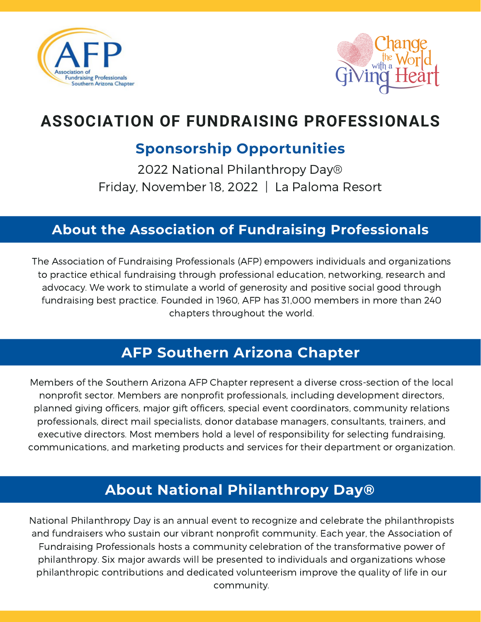



# **ASSOCIATION OF FUNDRAISING PROFESSIONALS**

## **Sponsorship Opportunities**

2022 National Philanthropy Day® Friday, November 18, 2022 | La Paloma Resort

#### **About the Association of Fundraising Professionals**

The Association of Fundraising Professionals (AFP) empowers individuals and organizations to practice ethical fundraising through professional education, networking, research and advocacy. We work to stimulate a world of generosity and positive social good through fundraising best practice. Founded in 1960, AFP has 31,000 members in more than 240 chapters throughout the world.

#### **AFP Southern Arizona Chapter**

Members of the Southern Arizona AFP Chapter represent a diverse cross-section of the local nonprofit sector. Members are nonprofit professionals, including development directors, planned giving officers, major gift officers, special event coordinators, community relations professionals, direct mail specialists, donor database managers, consultants, trainers, and executive directors. Most members hold a level of responsibility for selecting fundraising, communications, and marketing products and services for their department or organization.

## **About National Philanthropy Day®**

National Philanthropy Day is an annual event to recognize and celebrate the philanthropists and fundraisers who sustain our vibrant nonprofit community. Each year, the Association of Fundraising Professionals hosts a community celebration of the transformative power of philanthropy. Six major awards will be presented to individuals and organizations whose philanthropic contributions and dedicated volunteerism improve the quality of life in our community.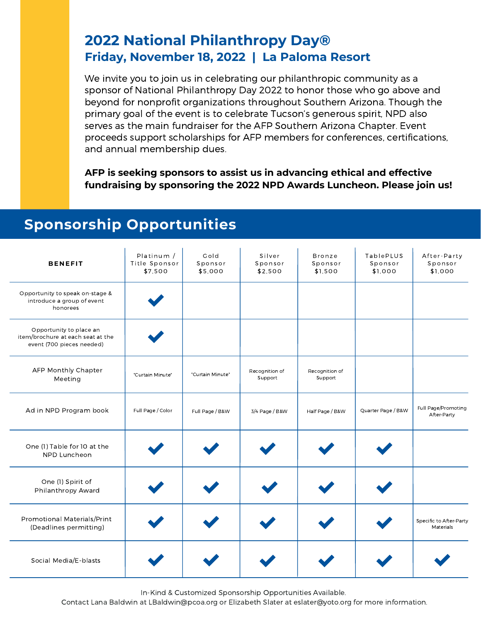#### **2022 National Philanthropy Day® Friday, November 18, 2022 | La Paloma Resort**

We invite you to join us in celebrating our philanthropic community as a sponsor of National Philanthropy Day 2022 to honor those who go above and beyond for nonprofit organizations throughout Southern Arizona. Though the primary goal of the event is to celebrate Tucson's generous spirit, NPD also serves as the main fundraiser for the AFP Southern Arizona Chapter. Event proceeds support scholarships for AFP members for conferences, certifications, and annual membership dues.

**AFP is seeking sponsors to assist us in advancing ethical and effective fundraising by sponsoring the 2022 NPD Awards Luncheon. Please join us!**

## **Sponsorship Opportunities**

| <b>BENEFIT</b>                                                                            | Platinum /<br>Title Sponsor<br>\$7,500 | Gold<br>Sponsor<br>\$5,000 | Silver<br>Sponsor<br>\$2,500 | <b>Bronze</b><br>Sponsor<br>\$1,500 | TablePLUS<br>Sponsor<br>\$1,000 | After-Party<br>Sponsor<br>\$1,000    |
|-------------------------------------------------------------------------------------------|----------------------------------------|----------------------------|------------------------------|-------------------------------------|---------------------------------|--------------------------------------|
| Opportunity to speak on-stage &<br>introduce a group of event<br>honorees                 |                                        |                            |                              |                                     |                                 |                                      |
| Opportunity to place an<br>item/brochure at each seat at the<br>event (700 pieces needed) |                                        |                            |                              |                                     |                                 |                                      |
| AFP Monthly Chapter<br>Meeting                                                            | "Curtain Minute"                       | "Curtain Minute"           | Recognition of<br>Support    | Recognition of<br>Support           |                                 |                                      |
| Ad in NPD Program book                                                                    | Full Page / Color                      | Full Page / B&W            | 3/4 Page / B&W               | Half Page / B&W                     | Quarter Page / B&W              | Full Page/Promoting<br>After-Party   |
| One (1) Table for 10 at the<br>NPD Luncheon                                               |                                        |                            |                              |                                     |                                 |                                      |
| One (1) Spirit of<br>Philanthropy Award                                                   |                                        |                            |                              |                                     |                                 |                                      |
| Promotional Materials/Print<br>(Deadlines permitting)                                     |                                        |                            |                              |                                     |                                 | Specific to After-Party<br>Materials |
| Social Media/E-blasts                                                                     |                                        |                            |                              |                                     |                                 |                                      |

In-Kind & Customized Sponsorship Opportunities Available.

Contact Lana Baldwin at [LBaldwin@pcoa.org](mailto:LBaldwin@pcoa.org) or Elizabeth Slater at [eslater@yoto.org](mailto:eslater@yoto.org) for more information.